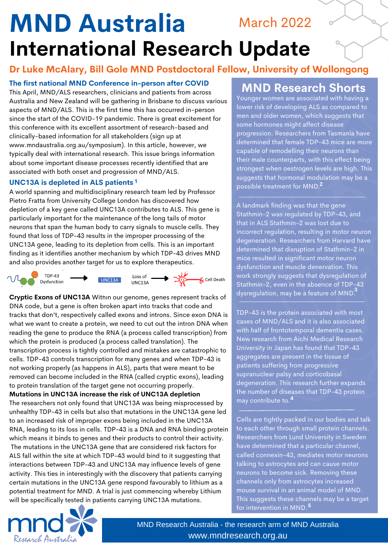# **MND Australia International Research Update** March 2022

### **Dr Luke McAlary, Bill Gole MND Postdoctoral Fellow, University of Wollongong**

**The first national MND Conference in-person after COVID**

This April, MND/ALS researchers, clinicians and patients from across Australia and New Zealand will be gathering in Brisbane to discuss various aspects of MND/ALS. This is the first time this has occurred in-person since the start of the COVID-19 pandemic. There is great excitement for this conference with its excellent assortment of research-based and clinically-based information for all stakeholders (sign up at www.mndaustralia.org.au/symposium). In this article, however, we typically deal with international research. This issue brings information about some important disease processes recently identified that are associated with both onset and progression of MND/ALS.

### **UNC13A is depleted in ALS patients 1**

A world spanning and multidisciplinary research team led by Professor Pietro Fratta from University College London has discovered how depletion of a key gene called UNC13A contributes to ALS. This gene is particularly important for the maintenance of the long tails of motor neurons that span the human body to carry signals to muscle cells. They found that loss of TDP-43 results in the improper processing of the UNC13A gene, leading to its depletion from cells. This is an important finding as it identifies another mechanism by which TDP-43 drives MND and also provides another target for us to explore therapeutics.



**Cryptic Exons of UNC13A** Within our genome, genes represent tracks of DNA code, but a gene is often broken apart into tracks that code and tracks that don't, respectively called exons and introns. Since exon DNA is what we want to create a protein, we need to cut out the intron DNA when reading the gene to produce the RNA (a process called transcription) from which the protein is produced (a process called translation). The transcription process is tightly controlled and mistakes are catastrophic to cells. TDP-43 controls transcription for many genes and when TDP-43 is not working properly (as happens in ALS), parts that were meant to be removed can become included in the RNA (called cryptic exons), leading to protein translation of the target gene not occurring properly.

**Mutations in UNC13A increase the risk of UNC13A depletion** The researchers not only found that UNC13A was being misprocessed by unhealthy TDP-43 in cells but also that mutations in the UNC13A gene led to an increased risk of improper exons being included in the UNC13A RNA, leading to its loss in cells. TDP-43 is a DNA and RNA binding protein which means it binds to genes and their products to control their activity. The mutations in the UNC13A gene that are considered risk factors for ALS fall within the site at which TDP-43 would bind to it suggesting that interactions between TDP-43 and UNC13A may influence levels of gene activity. This ties in interestingly with the discovery that patients carrying certain mutations in the UNC13A gene respond favourably to lithium as a potential treatment for MND. A trial is just commencing whereby Lithium will be specifically tested in patients carrying UNC13A mutations.

## **MND Research Shorts**

Younger women are associated with having a lower risk of developing ALS as compared to men and older women, which suggests that some hormones might affect disease progression. Researchers from Tasmania have determined that female TDP-43 mice are more capable of remodelling their neurons than their male counterparts, with this effect being strongest when oestrogen levels are high. This suggests that hormonal modulation may be a possible treatment for MND. **2**

A landmark finding was that the gene Stathmin-2 was regulated by TDP-43, and that in ALS Stathmin-2 was lost due to incorrect regulation, resulting in motor neuron degeneration. Researchers from Harvard have determined that disruption of Stathmin-2 in mice resulted in significant motor neuron dysfunction and muscle denervation. This work strongly suggests that dysregulation of Stathmin-2, even in the absence of TDP-43 dysregulation, may be a feature of MND. **3**

TDP-43 is the protein associated with most cases of MND/ALS and it is also associated with half of frontotemporal dementia cases. New research from Aichi Medical Research University in Japan has found that TDP-43 aggregates are present in the tissue of patients suffering from progressive supranuclear palsy and corticobasal degeneration. This research further expands the number of diseases that TDP-43 protein may contribute to. **4**

Cells are tightly packed in our bodies and talk to each other through small protein channels. Researchers from Lund University in Sweden have determined that a particular channel, called connexin-43, mediates motor neurons talking to astrocytes and can cause motor neurons to become sick. Removing these channels only from astrocytes increased mouse survival in an animal model of MND. This suggests these channels may be a target for intervention in MND. **5**



MND Research Australia - the research arm of MND Australia www.mndresearch.org.au